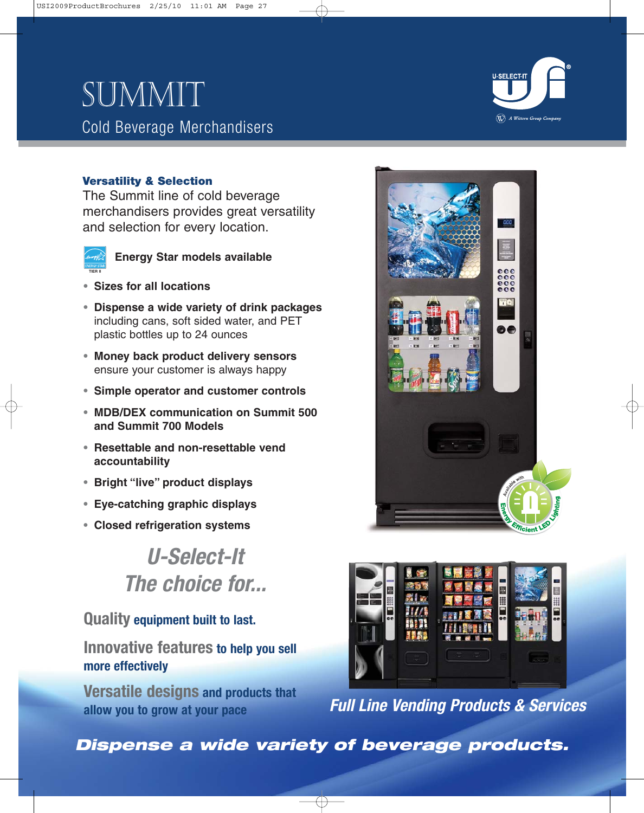# SUMMIT Cold Beverage Merchandisers



### **Versatility & Selection**

The Summit line of cold beverage merchandisers provides great versatility and selection for every location.



### **Energy Star models available**

- **• Sizes for all locations**
- **• Dispense a wide variety of drink packages** including cans, soft sided water, and PET plastic bottles up to 24 ounces
- **• Money back product delivery sensors** ensure your customer is always happy
- **• Simple operator and customer controls**
- **• MDB/DEX communication on Summit 500 and Summit 700 Models**
- **• Resettable and non-resettable vend accountability**
- **• Bright "live" product displays**
- **• Eye-catching graphic displays**
- **• Closed refrigeration systems**

## **U-Select-It The choice for...**

**Quality equipment built to last.**

**Innovative features to help you sell more effectively**

**Versatile designs and products that allow you to grow at your pace**





**Full Line Vending Products & Services**

**Dispense a wide variety of beverage products.**